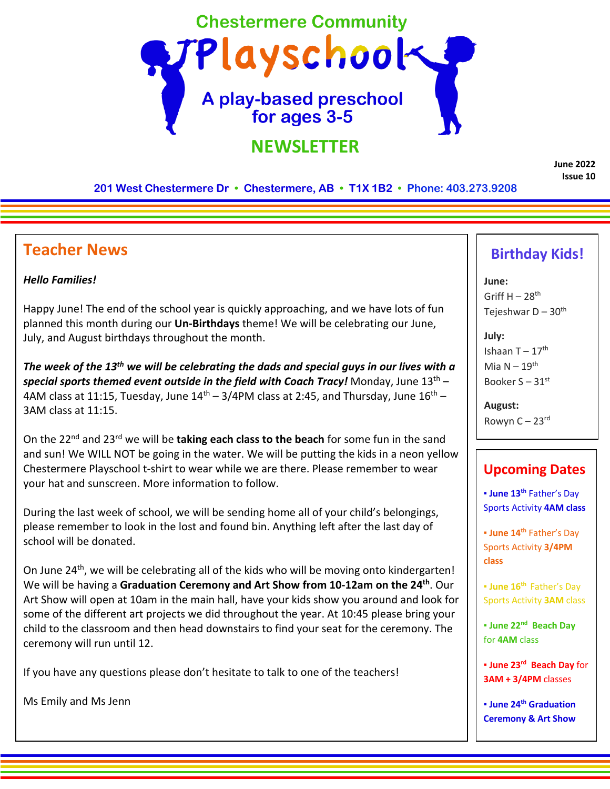

**June 2022 Issue 10**

**201 West Chestermere Dr • Chestermere, AB • T1X 1B2 • Phone: 403.273.9208**

## **Teacher News**

## *Hello Families!*

Happy June! The end of the school year is quickly approaching, and we have lots of fun planned this month during our **Un-Birthdays** theme! We will be celebrating our June, July, and August birthdays throughout the month.

*The week of the 13th we will be celebrating the dads and special guys in our lives with a special sports themed event outside in the field with Coach Tracy!* Monday, June 13th – 4AM class at 11:15, Tuesday, June  $14<sup>th</sup> - 3/4$ PM class at 2:45, and Thursday, June  $16<sup>th</sup> -$ 3AM class at 11:15.

On the 22nd and 23rd we will be **taking each class to the beach** for some fun in the sand and sun! We WILL NOT be going in the water. We will be putting the kids in a neon yellow Chestermere Playschool t-shirt to wear while we are there. Please remember to wear your hat and sunscreen. More information to follow.

During the last week of school, we will be sending home all of your child's belongings, please remember to look in the lost and found bin. Anything left after the last day of school will be donated.

On June 24<sup>th</sup>, we will be celebrating all of the kids who will be moving onto kindergarten! We will be having a **Graduation Ceremony and Art Show from 10-12am on the 24th**. Our Art Show will open at 10am in the main hall, have your kids show you around and look for some of the different art projects we did throughout the year. At 10:45 please bring your child to the classroom and then head downstairs to find your seat for the ceremony. The ceremony will run until 12.

If you have any questions please don't hesitate to talk to one of the teachers!

Ms Emily and Ms Jenn

## **Birthday Kids!**

**June:** Griff  $H - 28$ <sup>th</sup> Tejeshwar D –  $30<sup>th</sup>$ 

**July:** Ishaan  $T - 17$ <sup>th</sup> Mia  $N - 19$ <sup>th</sup> Booker  $S - 31$ <sup>st</sup>

**August:** Rowyn  $C - 23$ <sup>rd</sup>

## **Upcoming Dates**

▪ **June 13th** Father's Day Sports Activity **4AM class**

▪ **June 14th** Father's Day Sports Activity **3/4PM class**

▪ **June 16th** Father's Day Sports Activity **3AM** class

▪ **June 22nd Beach Day**  for **4AM** class

▪ **June 23rd Beach Day** for **3AM + 3/4PM** classes

▪ **June 24th Graduation Ceremony & Art Show**